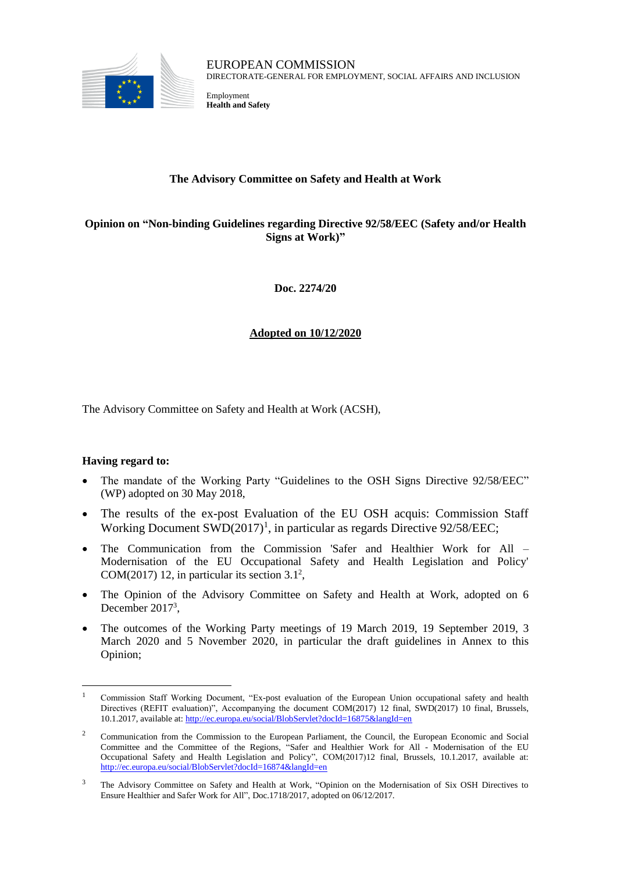

EUROPEAN COMMISSION DIRECTORATE-GENERAL FOR EMPLOYMENT, SOCIAL AFFAIRS AND INCLUSION

Employment **Health and Safety**

# **The Advisory Committee on Safety and Health at Work**

# **Opinion on "Non-binding Guidelines regarding Directive 92/58/EEC (Safety and/or Health Signs at Work)"**

**Doc. 2274/20**

# **Adopted on 10/12/2020**

The Advisory Committee on Safety and Health at Work (ACSH),

# **Having regard to:**

 $\overline{a}$ 

- The mandate of the Working Party "Guidelines to the OSH Signs Directive 92/58/EEC" (WP) adopted on 30 May 2018,
- The results of the ex-post Evaluation of the EU OSH acquis: Commission Staff Working Document SWD(2017)<sup>1</sup>, in particular as regards Directive 92/58/EEC;
- The Communication from the Commission 'Safer and Healthier Work for All Modernisation of the EU Occupational Safety and Health Legislation and Policy' COM(2017) 12, in particular its section  $3.1<sup>2</sup>$ ,
- The Opinion of the Advisory Committee on Safety and Health at Work, adopted on 6 December  $2017<sup>3</sup>$ ,
- The outcomes of the Working Party meetings of 19 March 2019, 19 September 2019, 3 March 2020 and 5 November 2020, in particular the draft guidelines in Annex to this Opinion;

<sup>1</sup> Commission Staff Working Document, "Ex-post evaluation of the European Union occupational safety and health Directives (REFIT evaluation)", Accompanying the document COM(2017) 12 final, SWD(2017) 10 final, Brussels, 10.1.2017, available at:<http://ec.europa.eu/social/BlobServlet?docId=16875&langId=en>

<sup>&</sup>lt;sup>2</sup> Communication from the Commission to the European Parliament, the Council, the European Economic and Social Committee and the Committee of the Regions, "Safer and Healthier Work for All - Modernisation of the EU Occupational Safety and Health Legislation and Policy", COM(2017)12 final, Brussels, 10.1.2017, available at: <http://ec.europa.eu/social/BlobServlet?docId=16874&langId=en>

<sup>&</sup>lt;sup>3</sup> The Advisory Committee on Safety and Health at Work, "Opinion on the Modernisation of Six OSH Directives to Ensure Healthier and Safer Work for All", Doc.1718/2017, adopted on 06/12/2017.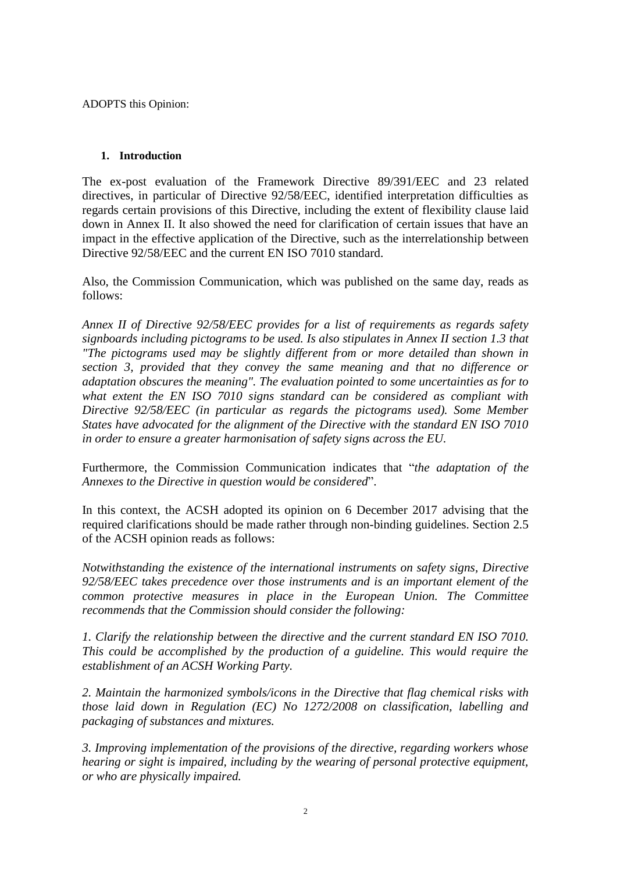ADOPTS this Opinion:

# **1. Introduction**

The ex-post evaluation of the Framework Directive 89/391/EEC and 23 related directives, in particular of Directive 92/58/EEC, identified interpretation difficulties as regards certain provisions of this Directive, including the extent of flexibility clause laid down in Annex II. It also showed the need for clarification of certain issues that have an impact in the effective application of the Directive, such as the interrelationship between Directive 92/58/EEC and the current EN ISO 7010 standard.

Also, the Commission Communication, which was published on the same day, reads as follows:

*Annex II of Directive 92/58/EEC provides for a list of requirements as regards safety signboards including pictograms to be used. Is also stipulates in Annex II section 1.3 that "The pictograms used may be slightly different from or more detailed than shown in section 3, provided that they convey the same meaning and that no difference or adaptation obscures the meaning". The evaluation pointed to some uncertainties as for to what extent the EN ISO 7010 signs standard can be considered as compliant with Directive 92/58/EEC (in particular as regards the pictograms used). Some Member States have advocated for the alignment of the Directive with the standard EN ISO 7010 in order to ensure a greater harmonisation of safety signs across the EU.*

Furthermore, the Commission Communication indicates that "*the adaptation of the Annexes to the Directive in question would be considered*".

In this context, the ACSH adopted its opinion on 6 December 2017 advising that the required clarifications should be made rather through non-binding guidelines. Section 2.5 of the ACSH opinion reads as follows:

*Notwithstanding the existence of the international instruments on safety signs, Directive 92/58/EEC takes precedence over those instruments and is an important element of the common protective measures in place in the European Union. The Committee recommends that the Commission should consider the following:* 

*1. Clarify the relationship between the directive and the current standard EN ISO 7010. This could be accomplished by the production of a guideline. This would require the establishment of an ACSH Working Party.* 

*2. Maintain the harmonized symbols/icons in the Directive that flag chemical risks with those laid down in Regulation (EC) No 1272/2008 on classification, labelling and packaging of substances and mixtures.* 

*3. Improving implementation of the provisions of the directive, regarding workers whose hearing or sight is impaired, including by the wearing of personal protective equipment, or who are physically impaired.*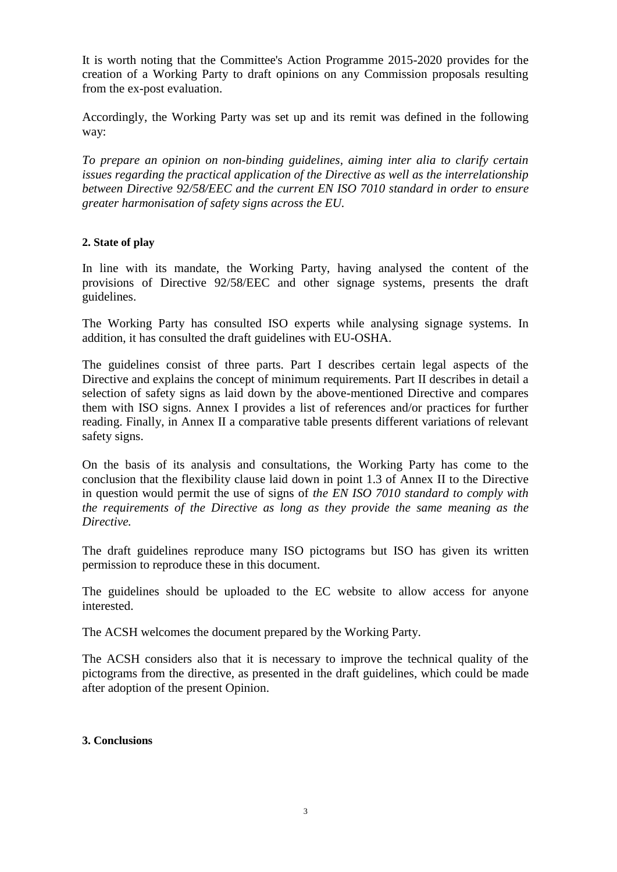It is worth noting that the Committee's Action Programme 2015-2020 provides for the creation of a Working Party to draft opinions on any Commission proposals resulting from the ex-post evaluation.

Accordingly, the Working Party was set up and its remit was defined in the following way:

*To prepare an opinion on non-binding guidelines, aiming inter alia to clarify certain issues regarding the practical application of the Directive as well as the interrelationship between Directive 92/58/EEC and the current EN ISO 7010 standard in order to ensure greater harmonisation of safety signs across the EU.* 

# **2. State of play**

In line with its mandate, the Working Party, having analysed the content of the provisions of Directive 92/58/EEC and other signage systems, presents the draft guidelines.

The Working Party has consulted ISO experts while analysing signage systems. In addition, it has consulted the draft guidelines with EU-OSHA.

The guidelines consist of three parts. Part I describes certain legal aspects of the Directive and explains the concept of minimum requirements. Part II describes in detail a selection of safety signs as laid down by the above-mentioned Directive and compares them with ISO signs. Annex I provides a list of references and/or practices for further reading. Finally, in Annex II a comparative table presents different variations of relevant safety signs.

On the basis of its analysis and consultations, the Working Party has come to the conclusion that the flexibility clause laid down in point 1.3 of Annex II to the Directive in question would permit the use of signs of *the EN ISO 7010 standard to comply with the requirements of the Directive as long as they provide the same meaning as the Directive.*

The draft guidelines reproduce many ISO pictograms but ISO has given its written permission to reproduce these in this document.

The guidelines should be uploaded to the EC website to allow access for anyone interested.

The ACSH welcomes the document prepared by the Working Party.

The ACSH considers also that it is necessary to improve the technical quality of the pictograms from the directive, as presented in the draft guidelines, which could be made after adoption of the present Opinion.

# **3. Conclusions**